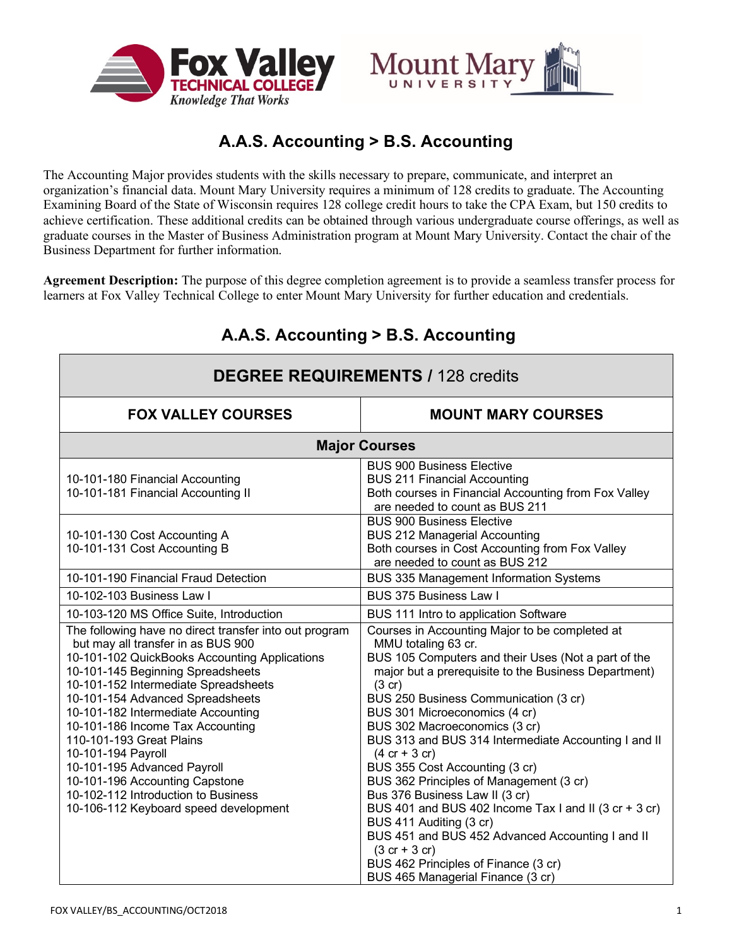



# **A.A.S. Accounting > B.S. Accounting**

The Accounting Major provides students with the skills necessary to prepare, communicate, and interpret an organization's financial data. Mount Mary University requires a minimum of 128 credits to graduate. The Accounting Examining Board of the State of Wisconsin requires 128 college credit hours to take the CPA Exam, but 150 credits to achieve certification. These additional credits can be obtained through various undergraduate course offerings, as well as graduate courses in the Master of Business Administration program at Mount Mary University. Contact the chair of the Business Department for further information.

**Agreement Description:** The purpose of this degree completion agreement is to provide a seamless transfer process for learners at Fox Valley Technical College to enter Mount Mary University for further education and credentials.

| <b>DEGREE REQUIREMENTS / 128 credits</b>                                                                                                                                                                                                                                                                                                                                                                                                                                                                                                    |                                                                                                                                                                                                                                                                                                                                                                                                                                                                                                                                                                                                                                                                                                                                             |
|---------------------------------------------------------------------------------------------------------------------------------------------------------------------------------------------------------------------------------------------------------------------------------------------------------------------------------------------------------------------------------------------------------------------------------------------------------------------------------------------------------------------------------------------|---------------------------------------------------------------------------------------------------------------------------------------------------------------------------------------------------------------------------------------------------------------------------------------------------------------------------------------------------------------------------------------------------------------------------------------------------------------------------------------------------------------------------------------------------------------------------------------------------------------------------------------------------------------------------------------------------------------------------------------------|
| <b>FOX VALLEY COURSES</b>                                                                                                                                                                                                                                                                                                                                                                                                                                                                                                                   | <b>MOUNT MARY COURSES</b>                                                                                                                                                                                                                                                                                                                                                                                                                                                                                                                                                                                                                                                                                                                   |
| <b>Major Courses</b>                                                                                                                                                                                                                                                                                                                                                                                                                                                                                                                        |                                                                                                                                                                                                                                                                                                                                                                                                                                                                                                                                                                                                                                                                                                                                             |
| 10-101-180 Financial Accounting<br>10-101-181 Financial Accounting II                                                                                                                                                                                                                                                                                                                                                                                                                                                                       | <b>BUS 900 Business Elective</b><br><b>BUS 211 Financial Accounting</b><br>Both courses in Financial Accounting from Fox Valley<br>are needed to count as BUS 211                                                                                                                                                                                                                                                                                                                                                                                                                                                                                                                                                                           |
| 10-101-130 Cost Accounting A<br>10-101-131 Cost Accounting B                                                                                                                                                                                                                                                                                                                                                                                                                                                                                | <b>BUS 900 Business Elective</b><br><b>BUS 212 Managerial Accounting</b><br>Both courses in Cost Accounting from Fox Valley<br>are needed to count as BUS 212                                                                                                                                                                                                                                                                                                                                                                                                                                                                                                                                                                               |
| 10-101-190 Financial Fraud Detection                                                                                                                                                                                                                                                                                                                                                                                                                                                                                                        | BUS 335 Management Information Systems                                                                                                                                                                                                                                                                                                                                                                                                                                                                                                                                                                                                                                                                                                      |
| 10-102-103 Business Law I                                                                                                                                                                                                                                                                                                                                                                                                                                                                                                                   | BUS 375 Business Law I                                                                                                                                                                                                                                                                                                                                                                                                                                                                                                                                                                                                                                                                                                                      |
| 10-103-120 MS Office Suite, Introduction                                                                                                                                                                                                                                                                                                                                                                                                                                                                                                    | BUS 111 Intro to application Software                                                                                                                                                                                                                                                                                                                                                                                                                                                                                                                                                                                                                                                                                                       |
| The following have no direct transfer into out program<br>but may all transfer in as BUS 900<br>10-101-102 QuickBooks Accounting Applications<br>10-101-145 Beginning Spreadsheets<br>10-101-152 Intermediate Spreadsheets<br>10-101-154 Advanced Spreadsheets<br>10-101-182 Intermediate Accounting<br>10-101-186 Income Tax Accounting<br>110-101-193 Great Plains<br>10-101-194 Payroll<br>10-101-195 Advanced Payroll<br>10-101-196 Accounting Capstone<br>10-102-112 Introduction to Business<br>10-106-112 Keyboard speed development | Courses in Accounting Major to be completed at<br>MMU totaling 63 cr.<br>BUS 105 Computers and their Uses (Not a part of the<br>major but a prerequisite to the Business Department)<br>(3 cr)<br>BUS 250 Business Communication (3 cr)<br>BUS 301 Microeconomics (4 cr)<br>BUS 302 Macroeconomics (3 cr)<br>BUS 313 and BUS 314 Intermediate Accounting I and II<br>$(4 cr + 3 cr)$<br>BUS 355 Cost Accounting (3 cr)<br>BUS 362 Principles of Management (3 cr)<br>Bus 376 Business Law II (3 cr)<br>BUS 401 and BUS 402 Income Tax I and II (3 cr + 3 cr)<br>BUS 411 Auditing (3 cr)<br>BUS 451 and BUS 452 Advanced Accounting I and II<br>$(3 cr + 3 cr)$<br>BUS 462 Principles of Finance (3 cr)<br>BUS 465 Managerial Finance (3 cr) |

# **A.A.S. Accounting > B.S. Accounting**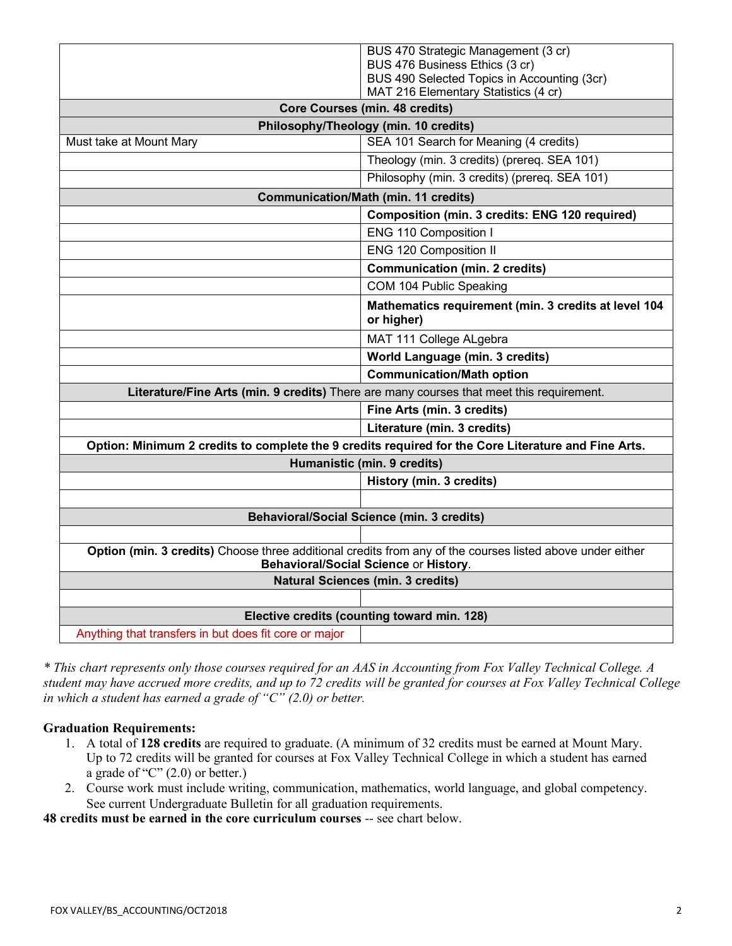|                                                                                                                                                    | BUS 470 Strategic Management (3 cr)                                |
|----------------------------------------------------------------------------------------------------------------------------------------------------|--------------------------------------------------------------------|
|                                                                                                                                                    | BUS 476 Business Ethics (3 cr)                                     |
|                                                                                                                                                    | BUS 490 Selected Topics in Accounting (3cr)                        |
|                                                                                                                                                    | MAT 216 Elementary Statistics (4 cr)                               |
| <b>Core Courses (min. 48 credits)</b>                                                                                                              |                                                                    |
| Philosophy/Theology (min. 10 credits)                                                                                                              |                                                                    |
| Must take at Mount Mary                                                                                                                            | SEA 101 Search for Meaning (4 credits)                             |
|                                                                                                                                                    | Theology (min. 3 credits) (prereq. SEA 101)                        |
|                                                                                                                                                    | Philosophy (min. 3 credits) (prereq. SEA 101)                      |
| <b>Communication/Math (min. 11 credits)</b>                                                                                                        |                                                                    |
|                                                                                                                                                    | Composition (min. 3 credits: ENG 120 required)                     |
|                                                                                                                                                    | ENG 110 Composition I                                              |
|                                                                                                                                                    | <b>ENG 120 Composition II</b>                                      |
|                                                                                                                                                    | <b>Communication (min. 2 credits)</b>                              |
|                                                                                                                                                    | COM 104 Public Speaking                                            |
|                                                                                                                                                    | Mathematics requirement (min. 3 credits at level 104<br>or higher) |
|                                                                                                                                                    | MAT 111 College ALgebra                                            |
|                                                                                                                                                    | World Language (min. 3 credits)                                    |
|                                                                                                                                                    | <b>Communication/Math option</b>                                   |
| Literature/Fine Arts (min. 9 credits) There are many courses that meet this requirement.                                                           |                                                                    |
|                                                                                                                                                    | Fine Arts (min. 3 credits)                                         |
|                                                                                                                                                    | Literature (min. 3 credits)                                        |
| Option: Minimum 2 credits to complete the 9 credits required for the Core Literature and Fine Arts.                                                |                                                                    |
| Humanistic (min. 9 credits)                                                                                                                        |                                                                    |
|                                                                                                                                                    | History (min. 3 credits)                                           |
|                                                                                                                                                    |                                                                    |
| <b>Behavioral/Social Science (min. 3 credits)</b>                                                                                                  |                                                                    |
|                                                                                                                                                    |                                                                    |
| Option (min. 3 credits) Choose three additional credits from any of the courses listed above under either<br>Behavioral/Social Science or History. |                                                                    |
|                                                                                                                                                    |                                                                    |
|                                                                                                                                                    | <b>Natural Sciences (min. 3 credits)</b>                           |
|                                                                                                                                                    |                                                                    |
|                                                                                                                                                    | Elective credits (counting toward min. 128)                        |

*\* This chart represents only those courses required for an AAS in Accounting from Fox Valley Technical College. A student may have accrued more credits, and up to 72 credits will be granted for courses at Fox Valley Technical College in which a student has earned a grade of "C" (2.0) or better.*

#### **Graduation Requirements:**

- 1. A total of **128 credits** are required to graduate. (A minimum of 32 credits must be earned at Mount Mary. Up to 72 credits will be granted for courses at Fox Valley Technical College in which a student has earned a grade of " $C$ " (2.0) or better.)
- 2. Course work must include writing, communication, mathematics, world language, and global competency. See current Undergraduate Bulletin for all graduation requirements.

**48 credits must be earned in the core curriculum courses** -- see chart below.